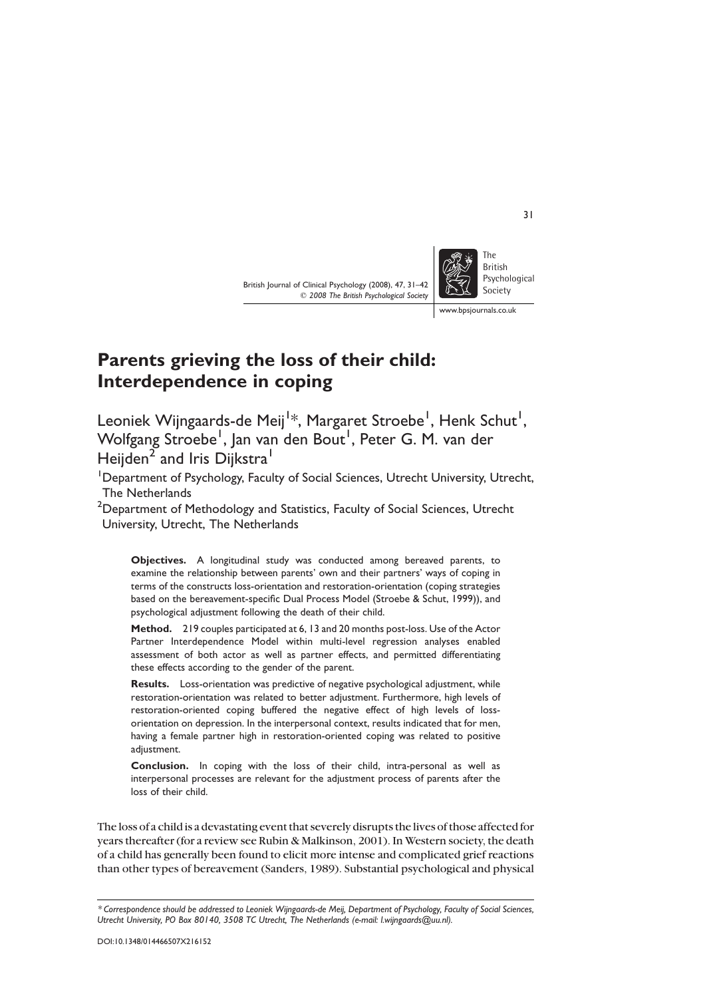British Journal of Clinical Psychology (2008), 47, 31–42  $©$  2008 The British Psychological Society



www.bpsjournals.co.uk

# Parents grieving the loss of their child: Interdependence in coping

Leoniek Wijngaards-de Meij<sup>1</sup>\*, Margaret Stroebe<sup>1</sup>, Henk Schut<sup>1</sup>, Wolfgang Stroebe<sup>1</sup>, Jan van den Bout<sup>1</sup>, Peter G. M. van der Heijden<sup>2</sup> and Iris Dijkstra<sup>1</sup>

<sup>1</sup>Department of Psychology, Faculty of Social Sciences, Utrecht University, Utrecht, The Netherlands

 $^{\rm 2}$ Department of Methodology and Statistics, Faculty of Social Sciences, Utrecht University, Utrecht, The Netherlands

Objectives. A longitudinal study was conducted among bereaved parents, to examine the relationship between parents' own and their partners' ways of coping in terms of the constructs loss-orientation and restoration-orientation (coping strategies based on the bereavement-specific Dual Process Model (Stroebe & Schut, 1999)), and psychological adjustment following the death of their child.

Method. 219 couples participated at 6, 13 and 20 months post-loss. Use of the Actor Partner Interdependence Model within multi-level regression analyses enabled assessment of both actor as well as partner effects, and permitted differentiating these effects according to the gender of the parent.

Results. Loss-orientation was predictive of negative psychological adjustment, while restoration-orientation was related to better adjustment. Furthermore, high levels of restoration-oriented coping buffered the negative effect of high levels of lossorientation on depression. In the interpersonal context, results indicated that for men, having a female partner high in restoration-oriented coping was related to positive adjustment.

Conclusion. In coping with the loss of their child, intra-personal as well as interpersonal processes are relevant for the adjustment process of parents after the loss of their child.

The loss of a child is a devastating event that severely disrupts the lives of those affected for years thereafter (for a review see Rubin & Malkinson, 2001). In Western society, the death of a child has generally been found to elicit more intense and complicated grief reactions than other types of bereavement (Sanders, 1989). Substantial psychological and physical

31

<sup>\*</sup> Correspondence should be addressed to Leoniek Wijngaards-de Meij, Department of Psychology, Faculty of Social Sciences, Utrecht University, PO Box 80140, 3508 TC Utrecht, The Netherlands (e-mail: l.wijngaards@uu.nl).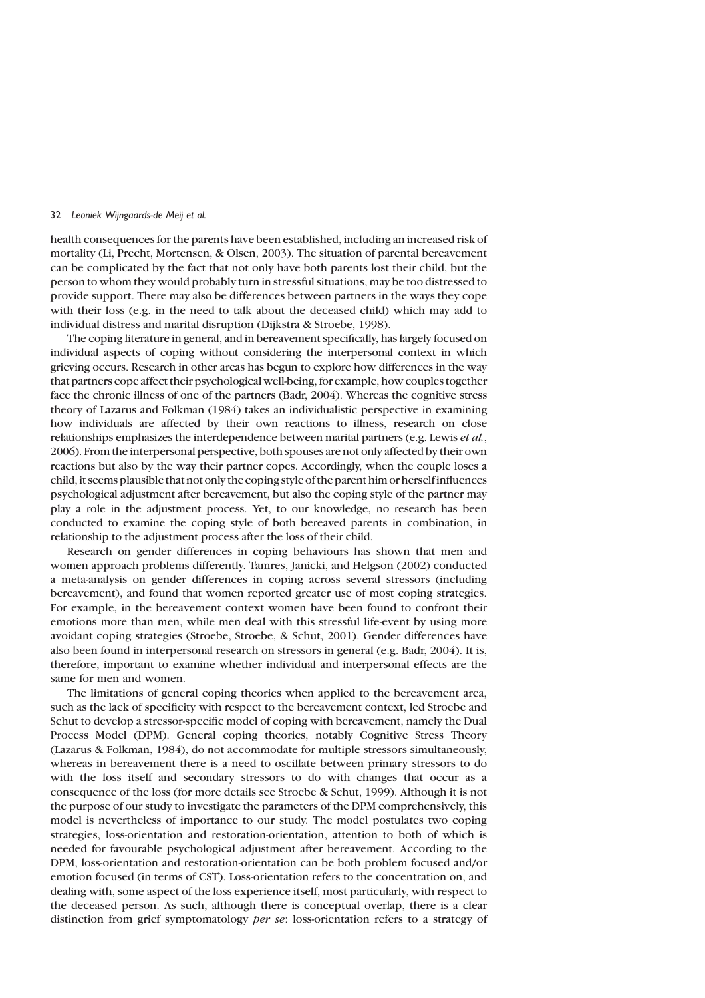health consequences for the parents have been established, including an increased risk of mortality (Li, Precht, Mortensen, & Olsen, 2003). The situation of parental bereavement can be complicated by the fact that not only have both parents lost their child, but the person to whom they would probably turn in stressful situations, may be too distressed to provide support. There may also be differences between partners in the ways they cope with their loss (e.g. in the need to talk about the deceased child) which may add to individual distress and marital disruption (Dijkstra & Stroebe, 1998).

The coping literature in general, and in bereavement specifically, has largely focused on individual aspects of coping without considering the interpersonal context in which grieving occurs. Research in other areas has begun to explore how differences in the way that partners cope affect their psychological well-being, for example, how couples together face the chronic illness of one of the partners (Badr, 2004). Whereas the cognitive stress theory of Lazarus and Folkman (1984) takes an individualistic perspective in examining how individuals are affected by their own reactions to illness, research on close relationships emphasizes the interdependence between marital partners (e.g. Lewis et al., 2006). From the interpersonal perspective, both spouses are not only affected by their own reactions but also by the way their partner copes. Accordingly, when the couple loses a child, it seems plausible that not only the coping style of the parent him or herselfinfluences psychological adjustment after bereavement, but also the coping style of the partner may play a role in the adjustment process. Yet, to our knowledge, no research has been conducted to examine the coping style of both bereaved parents in combination, in relationship to the adjustment process after the loss of their child.

Research on gender differences in coping behaviours has shown that men and women approach problems differently. Tamres, Janicki, and Helgson (2002) conducted a meta-analysis on gender differences in coping across several stressors (including bereavement), and found that women reported greater use of most coping strategies. For example, in the bereavement context women have been found to confront their emotions more than men, while men deal with this stressful life-event by using more avoidant coping strategies (Stroebe, Stroebe, & Schut, 2001). Gender differences have also been found in interpersonal research on stressors in general (e.g. Badr, 2004). It is, therefore, important to examine whether individual and interpersonal effects are the same for men and women.

The limitations of general coping theories when applied to the bereavement area, such as the lack of specificity with respect to the bereavement context, led Stroebe and Schut to develop a stressor-specific model of coping with bereavement, namely the Dual Process Model (DPM). General coping theories, notably Cognitive Stress Theory (Lazarus & Folkman, 1984), do not accommodate for multiple stressors simultaneously, whereas in bereavement there is a need to oscillate between primary stressors to do with the loss itself and secondary stressors to do with changes that occur as a consequence of the loss (for more details see Stroebe & Schut, 1999). Although it is not the purpose of our study to investigate the parameters of the DPM comprehensively, this model is nevertheless of importance to our study. The model postulates two coping strategies, loss-orientation and restoration-orientation, attention to both of which is needed for favourable psychological adjustment after bereavement. According to the DPM, loss-orientation and restoration-orientation can be both problem focused and/or emotion focused (in terms of CST). Loss-orientation refers to the concentration on, and dealing with, some aspect of the loss experience itself, most particularly, with respect to the deceased person. As such, although there is conceptual overlap, there is a clear distinction from grief symptomatology *per se*: loss-orientation refers to a strategy of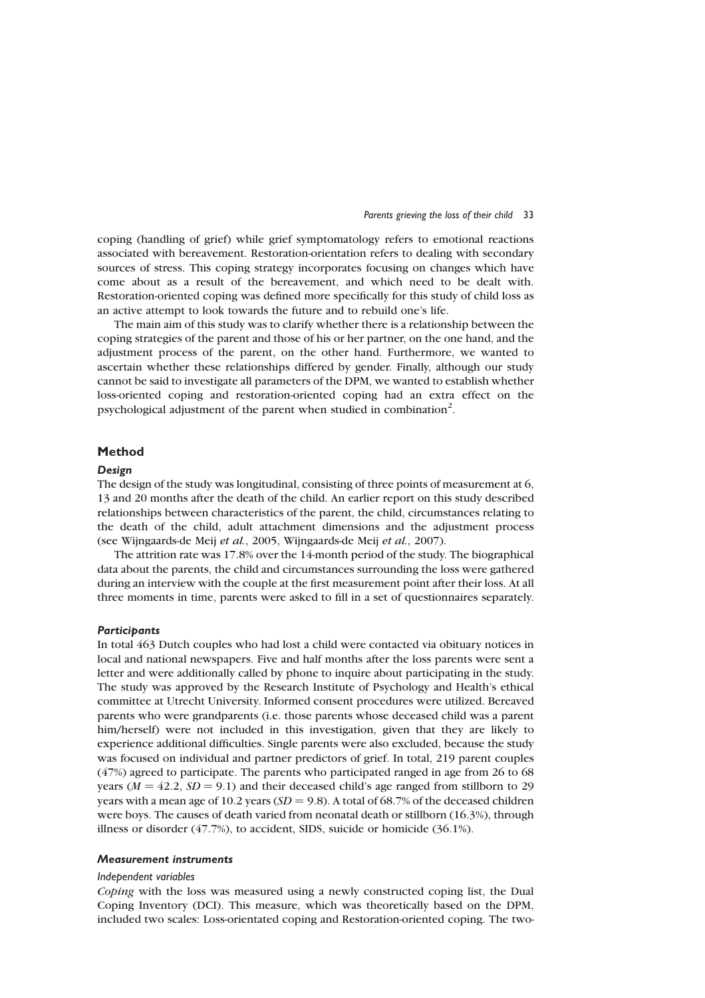#### Parents grieving the loss of their child 33

coping (handling of grief) while grief symptomatology refers to emotional reactions associated with bereavement. Restoration-orientation refers to dealing with secondary sources of stress. This coping strategy incorporates focusing on changes which have come about as a result of the bereavement, and which need to be dealt with. Restoration-oriented coping was defined more specifically for this study of child loss as an active attempt to look towards the future and to rebuild one's life.

The main aim of this study was to clarify whether there is a relationship between the coping strategies of the parent and those of his or her partner, on the one hand, and the adjustment process of the parent, on the other hand. Furthermore, we wanted to ascertain whether these relationships differed by gender. Finally, although our study cannot be said to investigate all parameters of the DPM, we wanted to establish whether loss-oriented coping and restoration-oriented coping had an extra effect on the psychological adjustment of the parent when studied in combination<sup>2</sup>.

# Method

## Design

The design of the study was longitudinal, consisting of three points of measurement at 6, 13 and 20 months after the death of the child. An earlier report on this study described relationships between characteristics of the parent, the child, circumstances relating to the death of the child, adult attachment dimensions and the adjustment process (see Wijngaards-de Meij et al., 2005, Wijngaards-de Meij et al., 2007).

The attrition rate was 17.8% over the 14-month period of the study. The biographical data about the parents, the child and circumstances surrounding the loss were gathered during an interview with the couple at the first measurement point after their loss. At all three moments in time, parents were asked to fill in a set of questionnaires separately.

## **Participants**

In total 463 Dutch couples who had lost a child were contacted via obituary notices in local and national newspapers. Five and half months after the loss parents were sent a letter and were additionally called by phone to inquire about participating in the study. The study was approved by the Research Institute of Psychology and Health's ethical committee at Utrecht University. Informed consent procedures were utilized. Bereaved parents who were grandparents (i.e. those parents whose deceased child was a parent him/herself) were not included in this investigation, given that they are likely to experience additional difficulties. Single parents were also excluded, because the study was focused on individual and partner predictors of grief. In total, 219 parent couples (47%) agreed to participate. The parents who participated ranged in age from 26 to 68 years ( $M = 42.2$ ,  $SD = 9.1$ ) and their deceased child's age ranged from stillborn to 29 years with a mean age of 10.2 years ( $SD = 9.8$ ). A total of 68.7% of the deceased children were boys. The causes of death varied from neonatal death or stillborn (16.3%), through illness or disorder (47.7%), to accident, SIDS, suicide or homicide (36.1%).

## Measurement instruments

## Independent variables

Coping with the loss was measured using a newly constructed coping list, the Dual Coping Inventory (DCI). This measure, which was theoretically based on the DPM, included two scales: Loss-orientated coping and Restoration-oriented coping. The two-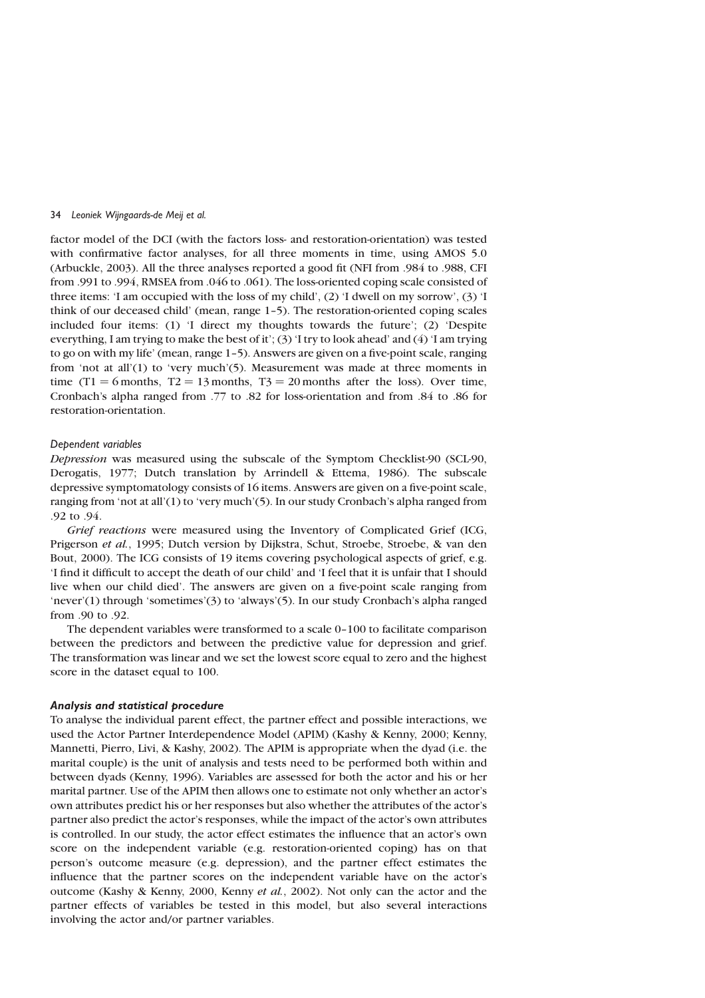factor model of the DCI (with the factors loss- and restoration-orientation) was tested with confirmative factor analyses, for all three moments in time, using AMOS 5.0 (Arbuckle, 2003). All the three analyses reported a good fit (NFI from .984 to .988, CFI from .991 to .994, RMSEA from .046 to .061). The loss-oriented coping scale consisted of three items: 'I am occupied with the loss of my child', (2) 'I dwell on my sorrow', (3) 'I think of our deceased child' (mean, range 1–5). The restoration-oriented coping scales included four items: (1) 'I direct my thoughts towards the future'; (2) 'Despite everything, I am trying to make the best of it'; (3) 'I try to look ahead' and (4) 'I am trying to go on with my life' (mean, range 1–5). Answers are given on a five-point scale, ranging from 'not at all'(1) to 'very much'(5). Measurement was made at three moments in time (T1 = 6 months, T2 = 13 months, T3 = 20 months after the loss). Over time, Cronbach's alpha ranged from .77 to .82 for loss-orientation and from .84 to .86 for restoration-orientation.

# Dependent variables

Depression was measured using the subscale of the Symptom Checklist-90 (SCL-90, Derogatis, 1977; Dutch translation by Arrindell & Ettema, 1986). The subscale depressive symptomatology consists of 16 items. Answers are given on a five-point scale, ranging from 'not at all'(1) to 'very much'(5). In our study Cronbach's alpha ranged from .92 to .94.

Grief reactions were measured using the Inventory of Complicated Grief (ICG, Prigerson et al., 1995; Dutch version by Dijkstra, Schut, Stroebe, Stroebe, & van den Bout, 2000). The ICG consists of 19 items covering psychological aspects of grief, e.g. 'I find it difficult to accept the death of our child' and 'I feel that it is unfair that I should live when our child died'. The answers are given on a five-point scale ranging from 'never'(1) through 'sometimes'(3) to 'always'(5). In our study Cronbach's alpha ranged from .90 to .92.

The dependent variables were transformed to a scale 0–100 to facilitate comparison between the predictors and between the predictive value for depression and grief. The transformation was linear and we set the lowest score equal to zero and the highest score in the dataset equal to 100.

## Analysis and statistical procedure

To analyse the individual parent effect, the partner effect and possible interactions, we used the Actor Partner Interdependence Model (APIM) (Kashy & Kenny, 2000; Kenny, Mannetti, Pierro, Livi, & Kashy, 2002). The APIM is appropriate when the dyad (i.e. the marital couple) is the unit of analysis and tests need to be performed both within and between dyads (Kenny, 1996). Variables are assessed for both the actor and his or her marital partner. Use of the APIM then allows one to estimate not only whether an actor's own attributes predict his or her responses but also whether the attributes of the actor's partner also predict the actor's responses, while the impact of the actor's own attributes is controlled. In our study, the actor effect estimates the influence that an actor's own score on the independent variable (e.g. restoration-oriented coping) has on that person's outcome measure (e.g. depression), and the partner effect estimates the influence that the partner scores on the independent variable have on the actor's outcome (Kashy & Kenny, 2000, Kenny et al., 2002). Not only can the actor and the partner effects of variables be tested in this model, but also several interactions involving the actor and/or partner variables.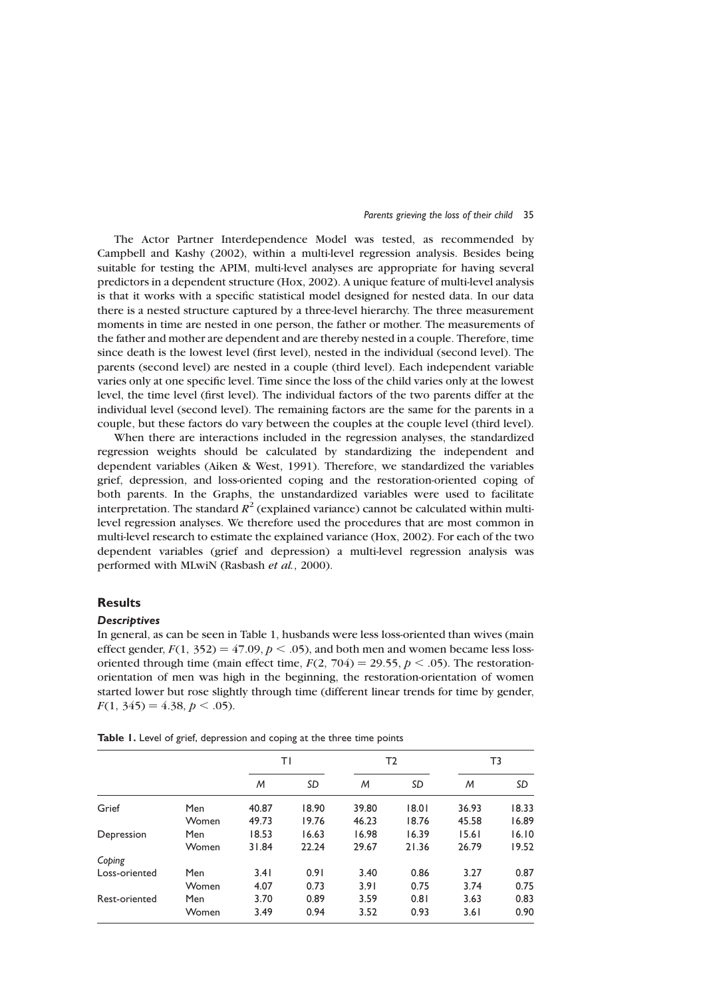#### Parents grieving the loss of their child 35

The Actor Partner Interdependence Model was tested, as recommended by Campbell and Kashy (2002), within a multi-level regression analysis. Besides being suitable for testing the APIM, multi-level analyses are appropriate for having several predictors in a dependent structure (Hox, 2002). A unique feature of multi-level analysis is that it works with a specific statistical model designed for nested data. In our data there is a nested structure captured by a three-level hierarchy. The three measurement moments in time are nested in one person, the father or mother. The measurements of the father and mother are dependent and are thereby nested in a couple. Therefore, time since death is the lowest level (first level), nested in the individual (second level). The parents (second level) are nested in a couple (third level). Each independent variable varies only at one specific level. Time since the loss of the child varies only at the lowest level, the time level (first level). The individual factors of the two parents differ at the individual level (second level). The remaining factors are the same for the parents in a couple, but these factors do vary between the couples at the couple level (third level).

When there are interactions included in the regression analyses, the standardized regression weights should be calculated by standardizing the independent and dependent variables (Aiken & West, 1991). Therefore, we standardized the variables grief, depression, and loss-oriented coping and the restoration-oriented coping of both parents. In the Graphs, the unstandardized variables were used to facilitate interpretation. The standard  $R^2$  (explained variance) cannot be calculated within multilevel regression analyses. We therefore used the procedures that are most common in multi-level research to estimate the explained variance (Hox, 2002). For each of the two dependent variables (grief and depression) a multi-level regression analysis was performed with MLwiN (Rasbash et al., 2000).

# **Results**

# **Descriptives**

In general, as can be seen in Table 1, husbands were less loss-oriented than wives (main effect gender,  $F(1, 352) = 47.09$ ,  $p < .05$ ), and both men and women became less lossoriented through time (main effect time,  $F(2, 704) = 29.55$ ,  $p < .05$ ). The restorationorientation of men was high in the beginning, the restoration-orientation of women started lower but rose slightly through time (different linear trends for time by gender,  $F(1, 345) = 4.38, p < .05$ .

T1 T2 T3 M SD M SD M SD Grief Men 40.87 18.90 39.80 18.01 36.93 18.33 Women 49.73 19.76 46.23 18.76 45.58 16.89 Depression Men 18.53 16.63 16.98 16.39 15.61 16.10 Women 31.84 22.24 29.67 21.36 26.79 19.52 Coping Loss-oriented Men 3.41 0.91 3.40 0.86 3.27 0.87 Women 4.07 0.73 3.91 0.75 3.74 0.75 Rest-oriented Men 3.70 0.89 3.59 0.81 3.63 0.83 Women 3.49 0.94 3.52 0.93 3.61 0.90

Table 1. Level of grief, depression and coping at the three time points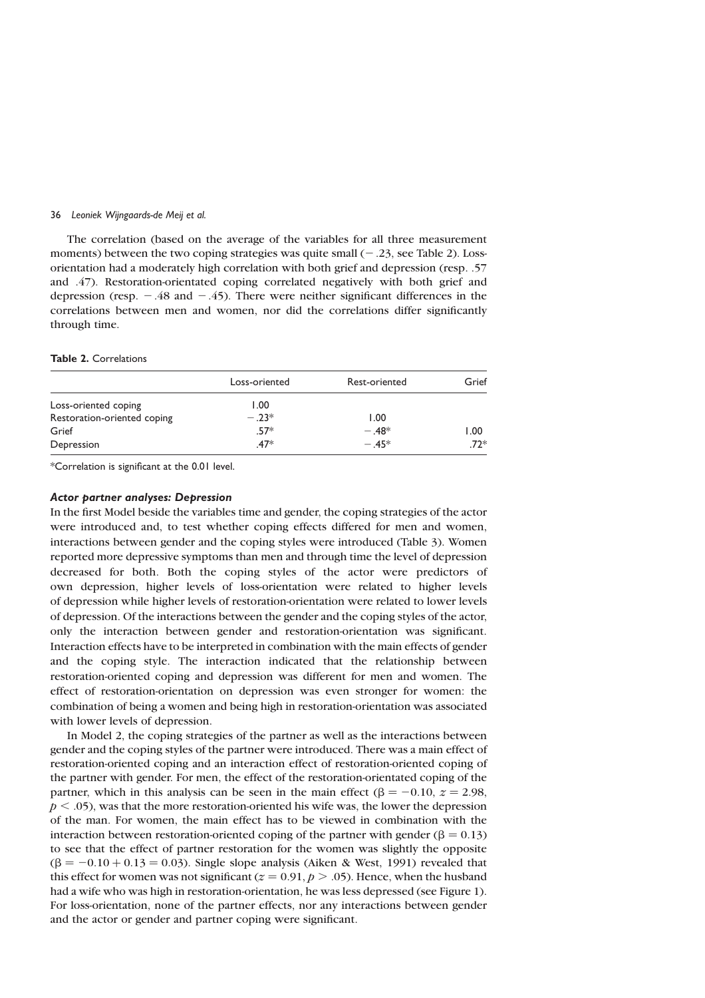The correlation (based on the average of the variables for all three measurement moments) between the two coping strategies was quite small  $(-.23, \text{see Table 2})$ . Lossorientation had a moderately high correlation with both grief and depression (resp. .57 and .47). Restoration-orientated coping correlated negatively with both grief and depression (resp.  $-0.48$  and  $-0.45$ ). There were neither significant differences in the correlations between men and women, nor did the correlations differ significantly through time.

# Table 2. Correlations

|                             | Loss-oriented | Rest-oriented | Grief |
|-----------------------------|---------------|---------------|-------|
| Loss-oriented coping        | 1.00          |               |       |
| Restoration-oriented coping | $-.23*$       | 1.00          |       |
| Grief                       | $.57*$        | $-.48*$       | 1.00  |
| Depression                  | $.47*$        | $-.45*$       | $72*$ |

\*Correlation is significant at the 0.01 level.

## Actor partner analyses: Depression

In the first Model beside the variables time and gender, the coping strategies of the actor were introduced and, to test whether coping effects differed for men and women, interactions between gender and the coping styles were introduced (Table 3). Women reported more depressive symptoms than men and through time the level of depression decreased for both. Both the coping styles of the actor were predictors of own depression, higher levels of loss-orientation were related to higher levels of depression while higher levels of restoration-orientation were related to lower levels of depression. Of the interactions between the gender and the coping styles of the actor, only the interaction between gender and restoration-orientation was significant. Interaction effects have to be interpreted in combination with the main effects of gender and the coping style. The interaction indicated that the relationship between restoration-oriented coping and depression was different for men and women. The effect of restoration-orientation on depression was even stronger for women: the combination of being a women and being high in restoration-orientation was associated with lower levels of depression.

In Model 2, the coping strategies of the partner as well as the interactions between gender and the coping styles of the partner were introduced. There was a main effect of restoration-oriented coping and an interaction effect of restoration-oriented coping of the partner with gender. For men, the effect of the restoration-orientated coping of the partner, which in this analysis can be seen in the main effect ( $\beta = -0.10$ ,  $z = 2.98$ ,  $p < .05$ ), was that the more restoration-oriented his wife was, the lower the depression of the man. For women, the main effect has to be viewed in combination with the interaction between restoration-oriented coping of the partner with gender ( $\beta = 0.13$ ) to see that the effect of partner restoration for the women was slightly the opposite  $(\beta = -0.10 + 0.13 = 0.03)$ . Single slope analysis (Aiken & West, 1991) revealed that this effect for women was not significant ( $z = 0.91$ ,  $p > .05$ ). Hence, when the husband had a wife who was high in restoration-orientation, he was less depressed (see Figure 1). For loss-orientation, none of the partner effects, nor any interactions between gender and the actor or gender and partner coping were significant.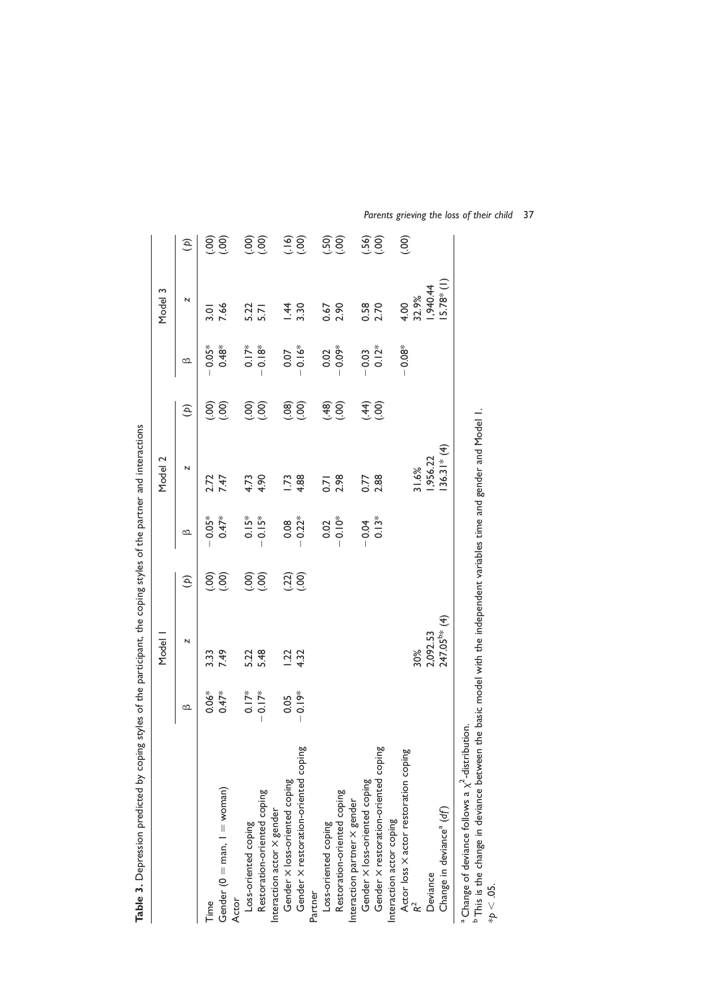|                                                                                                                                                                                                                            |                  | Model                    |                            |          | Model 2          |                     |          | Model 3      |                |
|----------------------------------------------------------------------------------------------------------------------------------------------------------------------------------------------------------------------------|------------------|--------------------------|----------------------------|----------|------------------|---------------------|----------|--------------|----------------|
|                                                                                                                                                                                                                            | മ                | N                        | E)                         | മ        | N                | $\mathfrak{S}$      | മ        | N            | $\mathfrak{S}$ |
| Time                                                                                                                                                                                                                       | $0.06*$          | 3.33                     | <u>(၁၀</u>                 | $-0.05*$ | 2.72             | $\odot$             | $0.05*$  | 3.01         | $\overline{5}$ |
| Gender (0 = man, 1 = woman)                                                                                                                                                                                                | $0.47*$          | 7.49                     | (00)                       | $0.47*$  | 7.47             | $\left( 00 \right)$ | $0.48*$  | 7.66         | (00)           |
| Actor                                                                                                                                                                                                                      |                  |                          |                            |          |                  |                     |          |              |                |
| Loss-oriented coping                                                                                                                                                                                                       | $\sum_{i=1}^{n}$ |                          |                            | $0.15*$  | 4.73             | <u>(၁၀)</u>         | $0.17*$  | 5.22         |                |
| Restoration-oriented coping                                                                                                                                                                                                | $-0.17*$         | 5.22<br>5.48             | <u>ခြင်</u>                | $0.15*$  | 4.90             | (00)                | $0.18*$  | 5.71         | (300)          |
| Interaction actor X gender                                                                                                                                                                                                 |                  |                          |                            |          |                  |                     |          |              |                |
| Gender X loss-oriented coping                                                                                                                                                                                              | 0.05             |                          |                            | 0.08     | 1.73             | (90)                | 0.07     | 1.44         |                |
| Gender X restoration-oriented coping                                                                                                                                                                                       | $-0.19*$         | $1.22$<br>4.32           | $\left(\frac{2}{3}\right)$ | $-0.22*$ | 4.88             | $\widetilde{S}$     | $0.16*$  | 3.30         | (90)           |
| Partner                                                                                                                                                                                                                    |                  |                          |                            |          |                  |                     |          |              |                |
| Loss-oriented coping                                                                                                                                                                                                       |                  |                          |                            | 0.02     | $\overline{0.7}$ | (48)                | 0.02     | 0.67         | (.50)          |
| Restoration-oriented coping                                                                                                                                                                                                |                  |                          |                            | $-0.10*$ | 2.98             | (00)                | $0.09*$  | 2.90         | (00)           |
| Interaction partner $\times$ gender                                                                                                                                                                                        |                  |                          |                            |          |                  |                     |          |              |                |
| Gender X loss-oriented coping                                                                                                                                                                                              |                  |                          |                            | $-0.04$  | 0.77             | (44)                | $-0.03$  |              | (.56)          |
| Gender X restoration-oriented coping                                                                                                                                                                                       |                  |                          |                            | $0.13*$  | 2.88             | $\widetilde{S}$     | $0.12*$  | 0.58<br>2.70 | (00)           |
| Interaction actor coping                                                                                                                                                                                                   |                  |                          |                            |          |                  |                     |          |              |                |
| Actor loss X actor restoration coping                                                                                                                                                                                      |                  |                          |                            |          |                  |                     | $-0.08*$ | 4.00         | (00)           |
|                                                                                                                                                                                                                            |                  | 30%                      |                            |          | 31.6%            |                     |          | 32.9%        |                |
| Deviance                                                                                                                                                                                                                   |                  | 2,092.53                 |                            |          | 1,956.22         |                     |          | 1,940.44     |                |
| Change in deviance <sup>a</sup> (df)                                                                                                                                                                                       |                  | 247.05 <sup>b*</sup> (4) |                            |          | $36.31* (4)$     |                     |          | $5.78*(1)$   |                |
| <sup>b</sup> This is the change in deviance between the basic model with the independent variables time and gender and Model I.<br><sup>a</sup> Change of deviance follows a $\chi^2$ -distribution.<br>$^{\ast}p < .05$ . |                  |                          |                            |          |                  |                     |          |              |                |

Table 3. Depression predicted by coping styles of the participant, the coping styles of the partner and interactions Table 3. Depression predicted by coping styles of the participant, the coping styles of the partner and interactions

Parents grieving the loss of their child 37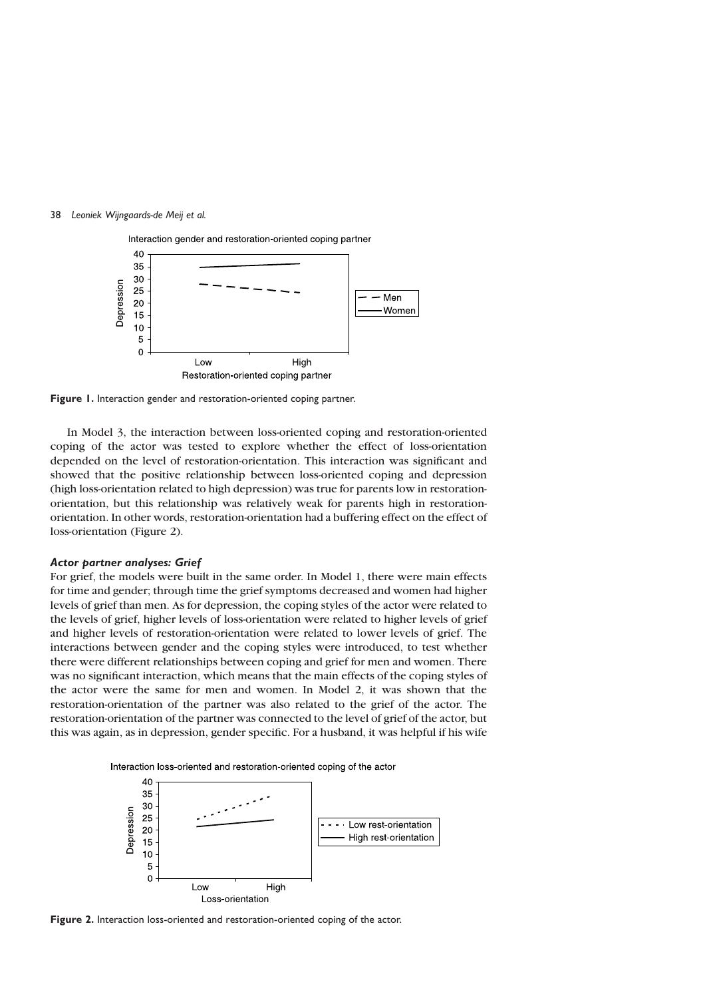

Figure 1. Interaction gender and restoration-oriented coping partner.

In Model 3, the interaction between loss-oriented coping and restoration-oriented coping of the actor was tested to explore whether the effect of loss-orientation depended on the level of restoration-orientation. This interaction was significant and showed that the positive relationship between loss-oriented coping and depression (high loss-orientation related to high depression) was true for parents low in restorationorientation, but this relationship was relatively weak for parents high in restorationorientation. In other words, restoration-orientation had a buffering effect on the effect of loss-orientation (Figure 2).

## Actor partner analyses: Grief

For grief, the models were built in the same order. In Model 1, there were main effects for time and gender; through time the grief symptoms decreased and women had higher levels of grief than men. As for depression, the coping styles of the actor were related to the levels of grief, higher levels of loss-orientation were related to higher levels of grief and higher levels of restoration-orientation were related to lower levels of grief. The interactions between gender and the coping styles were introduced, to test whether there were different relationships between coping and grief for men and women. There was no significant interaction, which means that the main effects of the coping styles of the actor were the same for men and women. In Model 2, it was shown that the restoration-orientation of the partner was also related to the grief of the actor. The restoration-orientation of the partner was connected to the level of grief of the actor, but this was again, as in depression, gender specific. For a husband, it was helpful if his wife





Figure 2. Interaction loss-oriented and restoration-oriented coping of the actor.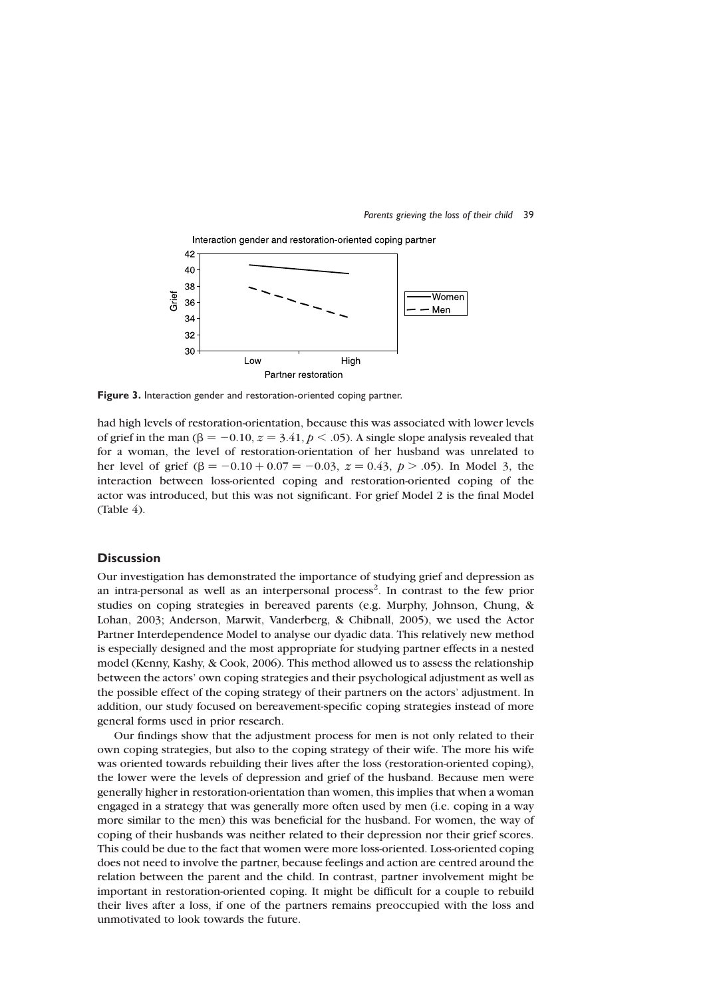



Figure 3. Interaction gender and restoration-oriented coping partner.

had high levels of restoration-orientation, because this was associated with lower levels of grief in the man ( $\beta = -0.10$ ,  $z = 3.41$ ,  $p < .05$ ). A single slope analysis revealed that for a woman, the level of restoration-orientation of her husband was unrelated to her level of grief ( $\beta = -0.10 + 0.07 = -0.03$ ,  $z = 0.43$ ,  $p > .05$ ). In Model 3, the interaction between loss-oriented coping and restoration-oriented coping of the actor was introduced, but this was not significant. For grief Model 2 is the final Model (Table 4).

# **Discussion**

Our investigation has demonstrated the importance of studying grief and depression as an intra-personal as well as an interpersonal process<sup>2</sup>. In contrast to the few prior studies on coping strategies in bereaved parents (e.g. Murphy, Johnson, Chung, & Lohan, 2003; Anderson, Marwit, Vanderberg, & Chibnall, 2005), we used the Actor Partner Interdependence Model to analyse our dyadic data. This relatively new method is especially designed and the most appropriate for studying partner effects in a nested model (Kenny, Kashy, & Cook, 2006). This method allowed us to assess the relationship between the actors' own coping strategies and their psychological adjustment as well as the possible effect of the coping strategy of their partners on the actors' adjustment. In addition, our study focused on bereavement-specific coping strategies instead of more general forms used in prior research.

Our findings show that the adjustment process for men is not only related to their own coping strategies, but also to the coping strategy of their wife. The more his wife was oriented towards rebuilding their lives after the loss (restoration-oriented coping), the lower were the levels of depression and grief of the husband. Because men were generally higher in restoration-orientation than women, this implies that when a woman engaged in a strategy that was generally more often used by men (i.e. coping in a way more similar to the men) this was beneficial for the husband. For women, the way of coping of their husbands was neither related to their depression nor their grief scores. This could be due to the fact that women were more loss-oriented. Loss-oriented coping does not need to involve the partner, because feelings and action are centred around the relation between the parent and the child. In contrast, partner involvement might be important in restoration-oriented coping. It might be difficult for a couple to rebuild their lives after a loss, if one of the partners remains preoccupied with the loss and unmotivated to look towards the future.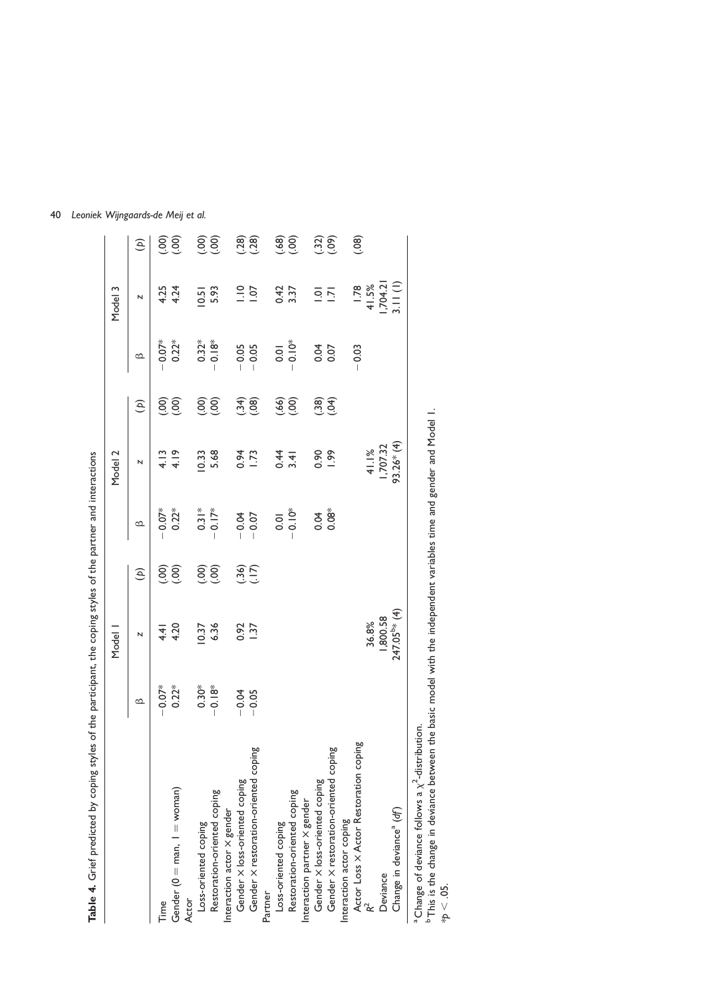| Table 4. Grief predicted by coping styles of the participant, the coping styles of the partner and interactions |          |                          |                                              |                  |                      |                                                |                |                  |                                                                              |
|-----------------------------------------------------------------------------------------------------------------|----------|--------------------------|----------------------------------------------|------------------|----------------------|------------------------------------------------|----------------|------------------|------------------------------------------------------------------------------|
|                                                                                                                 |          | Model 1                  |                                              |                  | Model 2              |                                                |                | Model 3          |                                                                              |
|                                                                                                                 | <u>ය</u> | N                        | $\mathfrak{S}$                               | $\circ$          | N                    | $\mathfrak{S}$                                 | $\circ$        | N                | $\mathfrak{D}$                                                               |
| Time                                                                                                            | $0.07*$  | 4.4                      | $\odot$                                      | $0.07*$          | 4.13                 | <u>ခြ</u>                                      | $0.07*$        | 4.25             |                                                                              |
| Gender ( $0 =$ man, $1 =$ woman)                                                                                | $0.22*$  | 4.20                     | (00)                                         | $0.22*$          | 4.19                 | 60)                                            | $0.22*$        | 4.24             | (300)                                                                        |
| Loss-oriented coping<br>Actor                                                                                   | $0.30*$  | 0.37                     |                                              | $0.31*$          | 0.33                 | (00)                                           | $0.32*$        | 0.51             |                                                                              |
| Restoration-oriented coping                                                                                     | $-0.18*$ | 6.36                     | <u>၉၅</u>                                    | $-0.17*$         | 5.68                 | (00)                                           | $0.18*$        | 5.93             | 6<br>(90)                                                                    |
| Interaction actor $\times$ gender                                                                               |          |                          |                                              |                  |                      |                                                |                |                  |                                                                              |
| Gender X loss-oriented coping                                                                                   | $-0.04$  | 0.92<br>1.37             |                                              | $-0.07$          | 0.94                 | (34)                                           | $-0.05$        | $\frac{1}{2}$    |                                                                              |
| Gender X restoration-oriented coping                                                                            | $-0.05$  |                          | $\begin{matrix} 6 & 1 \\ 1 & 2 \end{matrix}$ |                  | 1.73                 | (0.08)                                         | $-0.05$        | $\overline{0}$   | $(.28)$<br>$(.28)$                                                           |
| Partner                                                                                                         |          |                          |                                              |                  |                      |                                                |                |                  |                                                                              |
| Loss-oriented coping                                                                                            |          |                          |                                              | $\overline{0}$ . | $0.4$<br>4<br>4<br>4 |                                                | $\overline{0}$ | 0.42             |                                                                              |
| Restoration-oriented coping                                                                                     |          |                          |                                              | $-0.10*$         |                      | $\begin{pmatrix} 6 & 0 \\ 0 & 0 \end{pmatrix}$ | $-0.10*$       | 3.37             | $\left(\begin{smallmatrix} 6 & 0 \\ 6 & 0 \\ 0 & 0 \end{smallmatrix}\right)$ |
| Interaction partner $\times$ gender                                                                             |          |                          |                                              |                  |                      |                                                |                |                  |                                                                              |
| Gender X loss-oriented coping                                                                                   |          |                          |                                              | 0.04             | 0.90                 | (38)                                           | 0.07           | $\overline{0}$ . |                                                                              |
| Gender X restoration-oriented coping                                                                            |          |                          |                                              | $0.08*$          | <b>1.99</b>          | (94)                                           |                | $\overline{5}$   | (30)                                                                         |
| Interaction actor coping                                                                                        |          |                          |                                              |                  |                      |                                                |                |                  |                                                                              |
| Actor Loss X Actor Restoration coping                                                                           |          |                          |                                              |                  |                      |                                                | $-0.03$        | 1.78             | (0.08)                                                                       |
|                                                                                                                 |          | 36.8%                    |                                              |                  | 41.1%                |                                                |                | 41.5%            |                                                                              |
| Deviance                                                                                                        |          | 1,800.58                 |                                              |                  | 1,707.32             |                                                |                | ,704.21          |                                                                              |
| Change in deviance <sup>a</sup> (df)                                                                            |          | 247.05 <sup>b*</sup> (4) |                                              |                  | 93.26*(4)            |                                                |                | 3.11(1)          |                                                                              |
| $^a$ Change of deviance follows a $\chi^2$ -distribution.                                                       |          |                          |                                              |                  |                      |                                                |                |                  |                                                                              |

a Change<br>b This is t<br>\*p  $< .05$ . This is the change in deviance between the basic model with the independent variables time and gender and Model 1.

40 Leoniek Wijngaards-de Meij et al.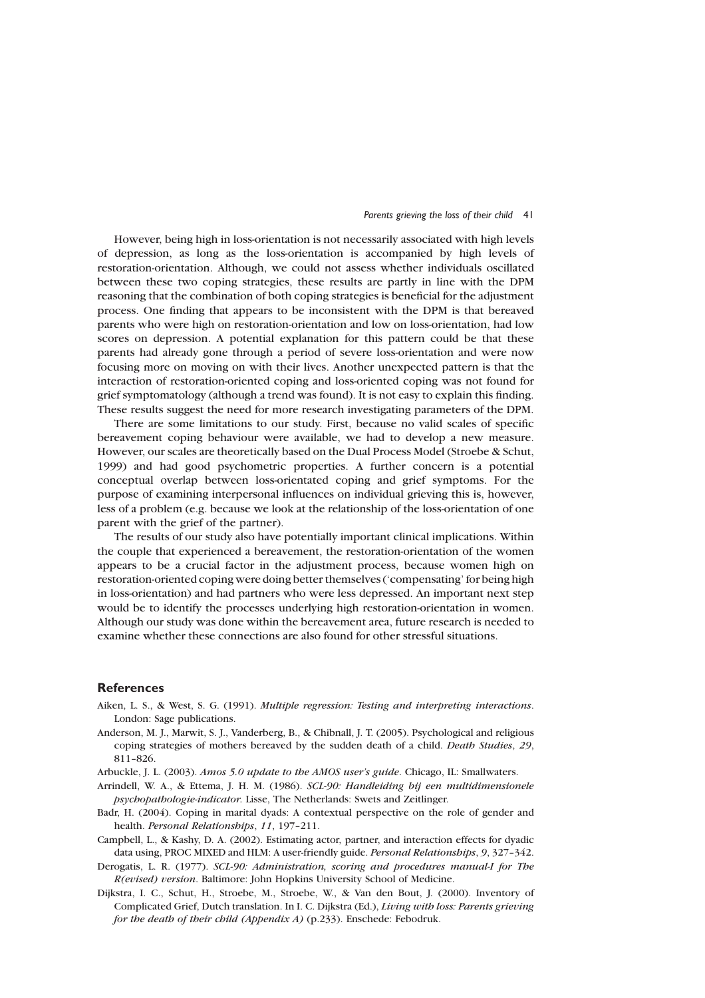#### Parents grieving the loss of their child 41

However, being high in loss-orientation is not necessarily associated with high levels of depression, as long as the loss-orientation is accompanied by high levels of restoration-orientation. Although, we could not assess whether individuals oscillated between these two coping strategies, these results are partly in line with the DPM reasoning that the combination of both coping strategies is beneficial for the adjustment process. One finding that appears to be inconsistent with the DPM is that bereaved parents who were high on restoration-orientation and low on loss-orientation, had low scores on depression. A potential explanation for this pattern could be that these parents had already gone through a period of severe loss-orientation and were now focusing more on moving on with their lives. Another unexpected pattern is that the interaction of restoration-oriented coping and loss-oriented coping was not found for grief symptomatology (although a trend was found). It is not easy to explain this finding. These results suggest the need for more research investigating parameters of the DPM.

There are some limitations to our study. First, because no valid scales of specific bereavement coping behaviour were available, we had to develop a new measure. However, our scales are theoretically based on the Dual Process Model (Stroebe & Schut, 1999) and had good psychometric properties. A further concern is a potential conceptual overlap between loss-orientated coping and grief symptoms. For the purpose of examining interpersonal influences on individual grieving this is, however, less of a problem (e.g. because we look at the relationship of the loss-orientation of one parent with the grief of the partner).

The results of our study also have potentially important clinical implications. Within the couple that experienced a bereavement, the restoration-orientation of the women appears to be a crucial factor in the adjustment process, because women high on restoration-oriented coping were doing better themselves ('compensating' for being high in loss-orientation) and had partners who were less depressed. An important next step would be to identify the processes underlying high restoration-orientation in women. Although our study was done within the bereavement area, future research is needed to examine whether these connections are also found for other stressful situations.

## **References**

- Aiken, L. S., & West, S. G. (1991). Multiple regression: Testing and interpreting interactions. London: Sage publications.
- Anderson, M. J., Marwit, S. J., Vanderberg, B., & Chibnall, J. T. (2005). Psychological and religious coping strategies of mothers bereaved by the sudden death of a child. Death Studies, 29, 811–826.
- Arbuckle, J. L. (2003). Amos 5.0 update to the AMOS user's guide. Chicago, IL: Smallwaters.
- Arrindell, W. A., & Ettema, J. H. M. (1986). SCL-90: Handleiding bij een multidimensionele psychopathologie-indicator. Lisse, The Netherlands: Swets and Zeitlinger.
- Badr, H. (2004). Coping in marital dyads: A contextual perspective on the role of gender and health. Personal Relationships, 11, 197–211.
- Campbell, L., & Kashy, D. A. (2002). Estimating actor, partner, and interaction effects for dyadic data using, PROC MIXED and HLM: A user-friendly guide. Personal Relationships, 9, 327-342.
- Derogatis, L. R. (1977). SCL-90: Administration, scoring and procedures manual-I for The R(evised) version. Baltimore: John Hopkins University School of Medicine.
- Dijkstra, I. C., Schut, H., Stroebe, M., Stroebe, W., & Van den Bout, J. (2000). Inventory of Complicated Grief, Dutch translation. In I. C. Dijkstra (Ed.), Living with loss: Parents grieving for the death of their child (Appendix A) (p.233). Enschede: Febodruk.